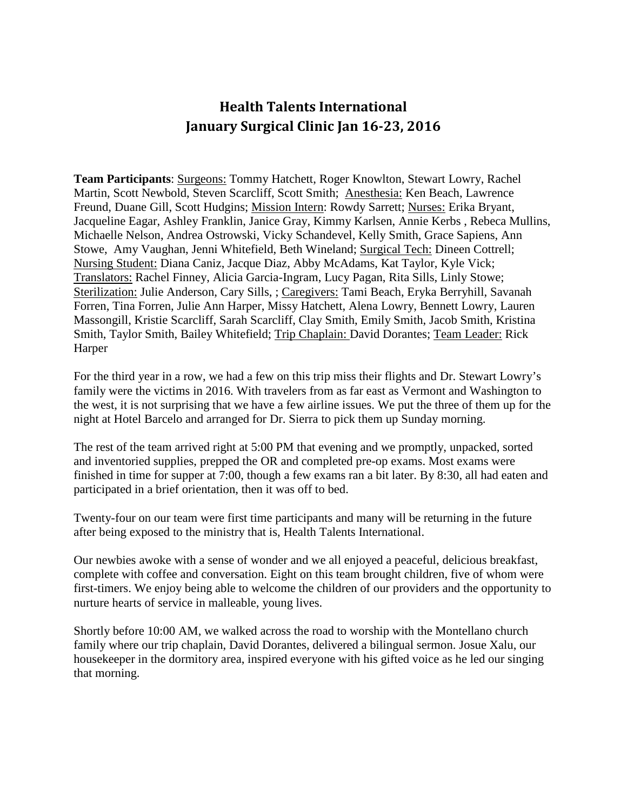## **Health Talents International January Surgical Clinic Jan 16-23, 2016**

**Team Participants**: Surgeons: Tommy Hatchett, Roger Knowlton, Stewart Lowry, Rachel Martin, Scott Newbold, Steven Scarcliff, Scott Smith; Anesthesia: Ken Beach, Lawrence Freund, Duane Gill, Scott Hudgins; Mission Intern: Rowdy Sarrett; Nurses: Erika Bryant, Jacqueline Eagar, Ashley Franklin, Janice Gray, Kimmy Karlsen, Annie Kerbs , Rebeca Mullins, Michaelle Nelson, Andrea Ostrowski, Vicky Schandevel, Kelly Smith, Grace Sapiens, Ann Stowe, Amy Vaughan, Jenni Whitefield, Beth Wineland; Surgical Tech: Dineen Cottrell; Nursing Student: Diana Caniz, Jacque Diaz, Abby McAdams, Kat Taylor, Kyle Vick; Translators: Rachel Finney, Alicia Garcia-Ingram, Lucy Pagan, Rita Sills, Linly Stowe; Sterilization: Julie Anderson, Cary Sills, ; Caregivers: Tami Beach, Eryka Berryhill, Savanah Forren, Tina Forren, Julie Ann Harper, Missy Hatchett, Alena Lowry, Bennett Lowry, Lauren Massongill, Kristie Scarcliff, Sarah Scarcliff, Clay Smith, Emily Smith, Jacob Smith, Kristina Smith, Taylor Smith, Bailey Whitefield; Trip Chaplain: David Dorantes; Team Leader: Rick Harper

For the third year in a row, we had a few on this trip miss their flights and Dr. Stewart Lowry's family were the victims in 2016. With travelers from as far east as Vermont and Washington to the west, it is not surprising that we have a few airline issues. We put the three of them up for the night at Hotel Barcelo and arranged for Dr. Sierra to pick them up Sunday morning.

The rest of the team arrived right at 5:00 PM that evening and we promptly, unpacked, sorted and inventoried supplies, prepped the OR and completed pre-op exams. Most exams were finished in time for supper at 7:00, though a few exams ran a bit later. By 8:30, all had eaten and participated in a brief orientation, then it was off to bed.

Twenty-four on our team were first time participants and many will be returning in the future after being exposed to the ministry that is, Health Talents International.

Our newbies awoke with a sense of wonder and we all enjoyed a peaceful, delicious breakfast, complete with coffee and conversation. Eight on this team brought children, five of whom were first-timers. We enjoy being able to welcome the children of our providers and the opportunity to nurture hearts of service in malleable, young lives.

Shortly before 10:00 AM, we walked across the road to worship with the Montellano church family where our trip chaplain, David Dorantes, delivered a bilingual sermon. Josue Xalu, our housekeeper in the dormitory area, inspired everyone with his gifted voice as he led our singing that morning.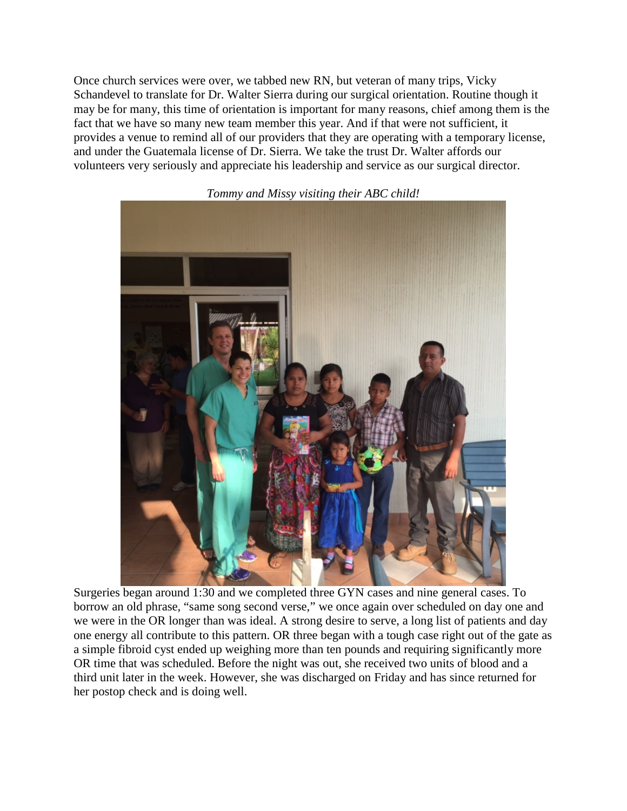Once church services were over, we tabbed new RN, but veteran of many trips, Vicky Schandevel to translate for Dr. Walter Sierra during our surgical orientation. Routine though it may be for many, this time of orientation is important for many reasons, chief among them is the fact that we have so many new team member this year. And if that were not sufficient, it provides a venue to remind all of our providers that they are operating with a temporary license, and under the Guatemala license of Dr. Sierra. We take the trust Dr. Walter affords our volunteers very seriously and appreciate his leadership and service as our surgical director.



*Tommy and Missy visiting their ABC child!*

Surgeries began around 1:30 and we completed three GYN cases and nine general cases. To borrow an old phrase, "same song second verse," we once again over scheduled on day one and we were in the OR longer than was ideal. A strong desire to serve, a long list of patients and day one energy all contribute to this pattern. OR three began with a tough case right out of the gate as a simple fibroid cyst ended up weighing more than ten pounds and requiring significantly more OR time that was scheduled. Before the night was out, she received two units of blood and a third unit later in the week. However, she was discharged on Friday and has since returned for her postop check and is doing well.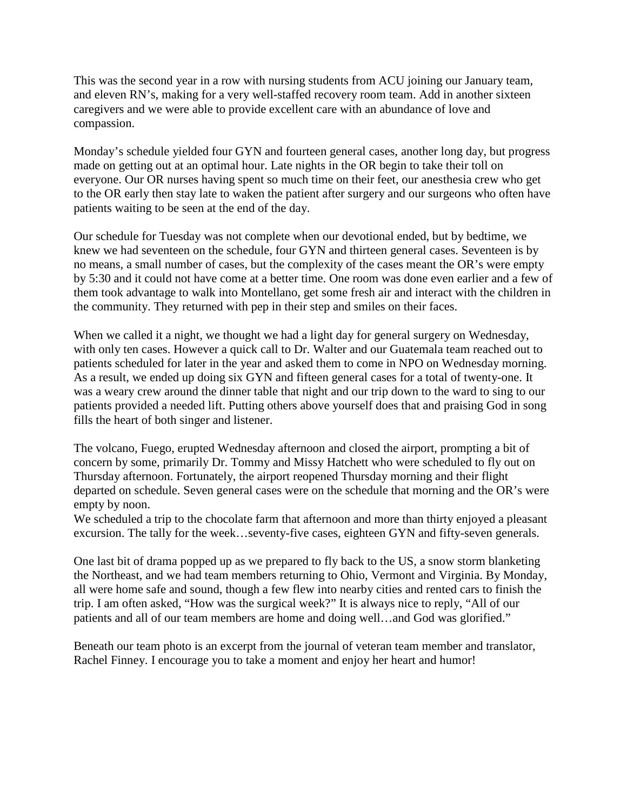This was the second year in a row with nursing students from ACU joining our January team, and eleven RN's, making for a very well-staffed recovery room team. Add in another sixteen caregivers and we were able to provide excellent care with an abundance of love and compassion.

Monday's schedule yielded four GYN and fourteen general cases, another long day, but progress made on getting out at an optimal hour. Late nights in the OR begin to take their toll on everyone. Our OR nurses having spent so much time on their feet, our anesthesia crew who get to the OR early then stay late to waken the patient after surgery and our surgeons who often have patients waiting to be seen at the end of the day.

Our schedule for Tuesday was not complete when our devotional ended, but by bedtime, we knew we had seventeen on the schedule, four GYN and thirteen general cases. Seventeen is by no means, a small number of cases, but the complexity of the cases meant the OR's were empty by 5:30 and it could not have come at a better time. One room was done even earlier and a few of them took advantage to walk into Montellano, get some fresh air and interact with the children in the community. They returned with pep in their step and smiles on their faces.

When we called it a night, we thought we had a light day for general surgery on Wednesday, with only ten cases. However a quick call to Dr. Walter and our Guatemala team reached out to patients scheduled for later in the year and asked them to come in NPO on Wednesday morning. As a result, we ended up doing six GYN and fifteen general cases for a total of twenty-one. It was a weary crew around the dinner table that night and our trip down to the ward to sing to our patients provided a needed lift. Putting others above yourself does that and praising God in song fills the heart of both singer and listener.

The volcano, Fuego, erupted Wednesday afternoon and closed the airport, prompting a bit of concern by some, primarily Dr. Tommy and Missy Hatchett who were scheduled to fly out on Thursday afternoon. Fortunately, the airport reopened Thursday morning and their flight departed on schedule. Seven general cases were on the schedule that morning and the OR's were empty by noon.

We scheduled a trip to the chocolate farm that afternoon and more than thirty enjoyed a pleasant excursion. The tally for the week…seventy-five cases, eighteen GYN and fifty-seven generals.

One last bit of drama popped up as we prepared to fly back to the US, a snow storm blanketing the Northeast, and we had team members returning to Ohio, Vermont and Virginia. By Monday, all were home safe and sound, though a few flew into nearby cities and rented cars to finish the trip. I am often asked, "How was the surgical week?" It is always nice to reply, "All of our patients and all of our team members are home and doing well…and God was glorified."

Beneath our team photo is an excerpt from the journal of veteran team member and translator, Rachel Finney. I encourage you to take a moment and enjoy her heart and humor!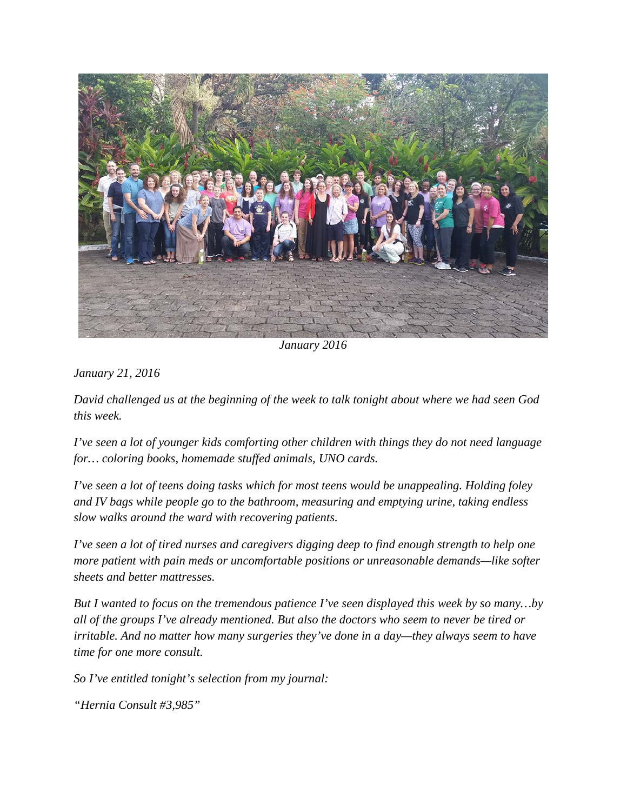

*January 2016*

*January 21, 2016*

*David challenged us at the beginning of the week to talk tonight about where we had seen God this week.* 

*I've seen a lot of younger kids comforting other children with things they do not need language for… coloring books, homemade stuffed animals, UNO cards.*

*I've seen a lot of teens doing tasks which for most teens would be unappealing. Holding foley and IV bags while people go to the bathroom, measuring and emptying urine, taking endless slow walks around the ward with recovering patients.*

*I've seen a lot of tired nurses and caregivers digging deep to find enough strength to help one more patient with pain meds or uncomfortable positions or unreasonable demands—like softer sheets and better mattresses.* 

*But I wanted to focus on the tremendous patience I've seen displayed this week by so many…by all of the groups I've already mentioned. But also the doctors who seem to never be tired or irritable. And no matter how many surgeries they've done in a day—they always seem to have time for one more consult.* 

*So I've entitled tonight's selection from my journal:* 

*"Hernia Consult #3,985"*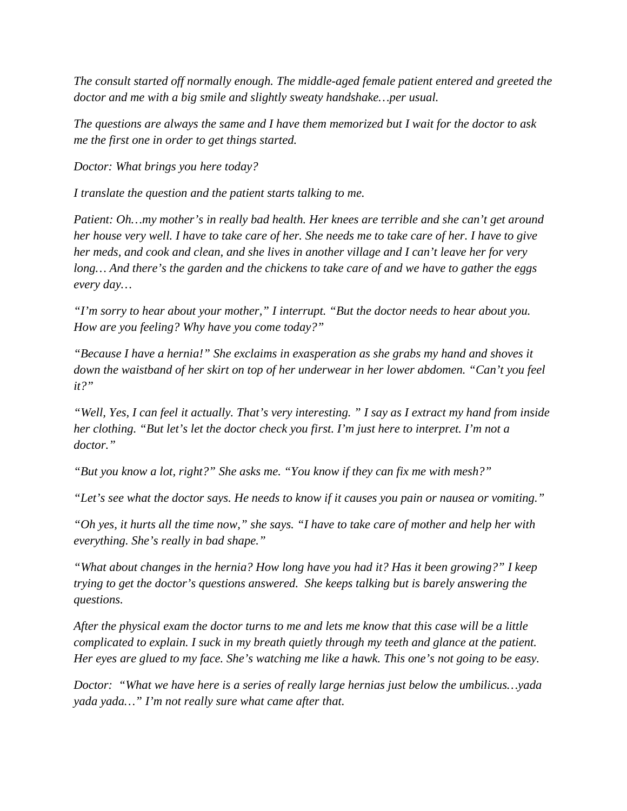*The consult started off normally enough. The middle-aged female patient entered and greeted the doctor and me with a big smile and slightly sweaty handshake…per usual.* 

*The questions are always the same and I have them memorized but I wait for the doctor to ask me the first one in order to get things started.*

*Doctor: What brings you here today?* 

*I translate the question and the patient starts talking to me.* 

*Patient: Oh…my mother's in really bad health. Her knees are terrible and she can't get around her house very well. I have to take care of her. She needs me to take care of her. I have to give her meds, and cook and clean, and she lives in another village and I can't leave her for very long… And there's the garden and the chickens to take care of and we have to gather the eggs every day…* 

*"I'm sorry to hear about your mother," I interrupt. "But the doctor needs to hear about you. How are you feeling? Why have you come today?"* 

*"Because I have a hernia!" She exclaims in exasperation as she grabs my hand and shoves it down the waistband of her skirt on top of her underwear in her lower abdomen. "Can't you feel it?"* 

*"Well, Yes, I can feel it actually. That's very interesting. " I say as I extract my hand from inside her clothing. "But let's let the doctor check you first. I'm just here to interpret. I'm not a doctor."* 

*"But you know a lot, right?" She asks me. "You know if they can fix me with mesh?"* 

*"Let's see what the doctor says. He needs to know if it causes you pain or nausea or vomiting."* 

*"Oh yes, it hurts all the time now," she says. "I have to take care of mother and help her with everything. She's really in bad shape."* 

*"What about changes in the hernia? How long have you had it? Has it been growing?" I keep trying to get the doctor's questions answered. She keeps talking but is barely answering the questions.* 

*After the physical exam the doctor turns to me and lets me know that this case will be a little complicated to explain. I suck in my breath quietly through my teeth and glance at the patient. Her eyes are glued to my face. She's watching me like a hawk. This one's not going to be easy.* 

*Doctor: "What we have here is a series of really large hernias just below the umbilicus…yada yada yada…" I'm not really sure what came after that.*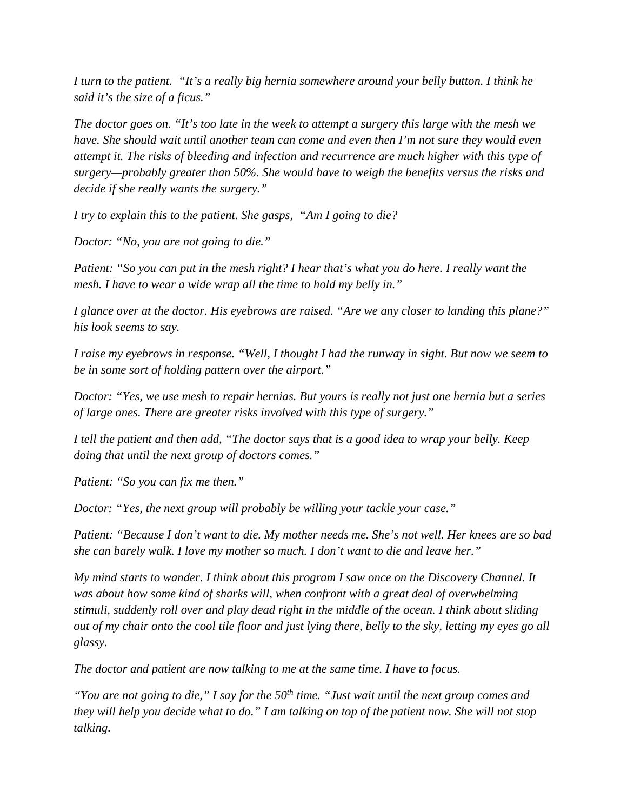*I turn to the patient. "It's a really big hernia somewhere around your belly button. I think he said it's the size of a ficus."* 

*The doctor goes on. "It's too late in the week to attempt a surgery this large with the mesh we have. She should wait until another team can come and even then I'm not sure they would even attempt it. The risks of bleeding and infection and recurrence are much higher with this type of surgery—probably greater than 50%. She would have to weigh the benefits versus the risks and decide if she really wants the surgery."*

*I try to explain this to the patient. She gasps, "Am I going to die?* 

*Doctor: "No, you are not going to die."* 

*Patient: "So you can put in the mesh right? I hear that's what you do here. I really want the mesh. I have to wear a wide wrap all the time to hold my belly in."* 

*I glance over at the doctor. His eyebrows are raised. "Are we any closer to landing this plane?" his look seems to say.* 

*I raise my eyebrows in response. "Well, I thought I had the runway in sight. But now we seem to be in some sort of holding pattern over the airport."* 

*Doctor: "Yes, we use mesh to repair hernias. But yours is really not just one hernia but a series of large ones. There are greater risks involved with this type of surgery."*

*I tell the patient and then add, "The doctor says that is a good idea to wrap your belly. Keep doing that until the next group of doctors comes."* 

*Patient: "So you can fix me then."* 

*Doctor: "Yes, the next group will probably be willing your tackle your case."* 

*Patient: "Because I don't want to die. My mother needs me. She's not well. Her knees are so bad she can barely walk. I love my mother so much. I don't want to die and leave her."* 

*My mind starts to wander. I think about this program I saw once on the Discovery Channel. It was about how some kind of sharks will, when confront with a great deal of overwhelming stimuli, suddenly roll over and play dead right in the middle of the ocean. I think about sliding out of my chair onto the cool tile floor and just lying there, belly to the sky, letting my eyes go all glassy.* 

*The doctor and patient are now talking to me at the same time. I have to focus.* 

*"You are not going to die," I say for the 50th time. "Just wait until the next group comes and they will help you decide what to do." I am talking on top of the patient now. She will not stop talking.*